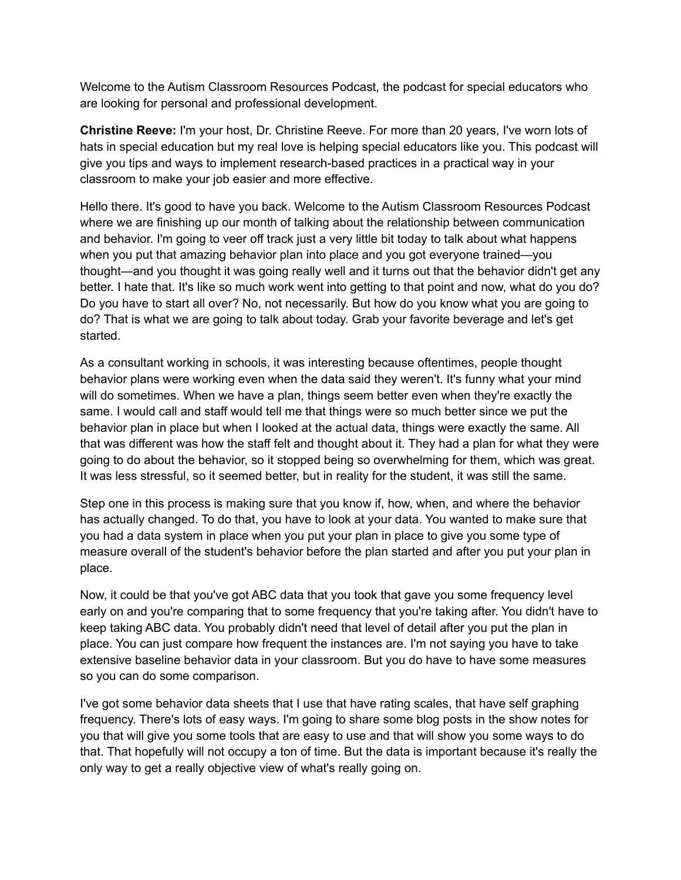Welcome to the Autism Classroom Resources Podcast, the podcast for special educators who are looking for personal and professional development.

**Christine Reeve:** I'm your host, Dr. Christine Reeve. For more than 20 years, I've worn lots of hats in special education but my real love is helping special educators like you. This podcast will give you tips and ways to implement research-based practices in a practical way in your classroom to make your job easier and more effective.

Hello there. It's good to have you back. Welcome to the Autism Classroom Resources Podcast where we are finishing up our month of talking about the relationship between communication and behavior. I'm going to veer off track just a very little bit today to talk about what happens when you put that amazing behavior plan into place and you got everyone trained—you thought—and you thought it was going really well and it turns out that the behavior didn't get any better. I hate that. It's like so much work went into getting to that point and now, what do you do? Do you have to start all over? No, not necessarily. But how do you know what you are going to do? That is what we are going to talk about today. Grab your favorite beverage and let's get started.

As a consultant working in schools, it was interesting because oftentimes, people thought behavior plans were working even when the data said they weren't. It's funny what your mind will do sometimes. When we have a plan, things seem better even when they're exactly the same. I would call and staff would tell me that things were so much better since we put the behavior plan in place but when I looked at the actual data, things were exactly the same. All that was different was how the staff felt and thought about it. They had a plan for what they were going to do about the behavior, so it stopped being so overwhelming for them, which was great. It was less stressful, so it seemed better, but in reality for the student, it was still the same.

Step one in this process is making sure that you know if, how, when, and where the behavior has actually changed. To do that, you have to look at your data. You wanted to make sure that you had a data system in place when you put your plan in place to give you some type of measure overall of the student's behavior before the plan started and after you put your plan in place.

Now, it could be that you've got ABC data that you took that gave you some frequency level early on and you're comparing that to some frequency that you're taking after. You didn't have to keep taking ABC data. You probably didn't need that level of detail after you put the plan in place. You can just compare how frequent the instances are. I'm not saying you have to take extensive baseline behavior data in your classroom. But you do have to have some measures so you can do some comparison.

I've got some behavior data sheets that I use that have rating scales, that have self graphing frequency. There's lots of easy ways. I'm going to share some blog posts in the show notes for you that will give you some tools that are easy to use and that will show you some ways to do that. That hopefully will not occupy a ton of time. But the data is important because it's really the only way to get a really objective view of what's really going on.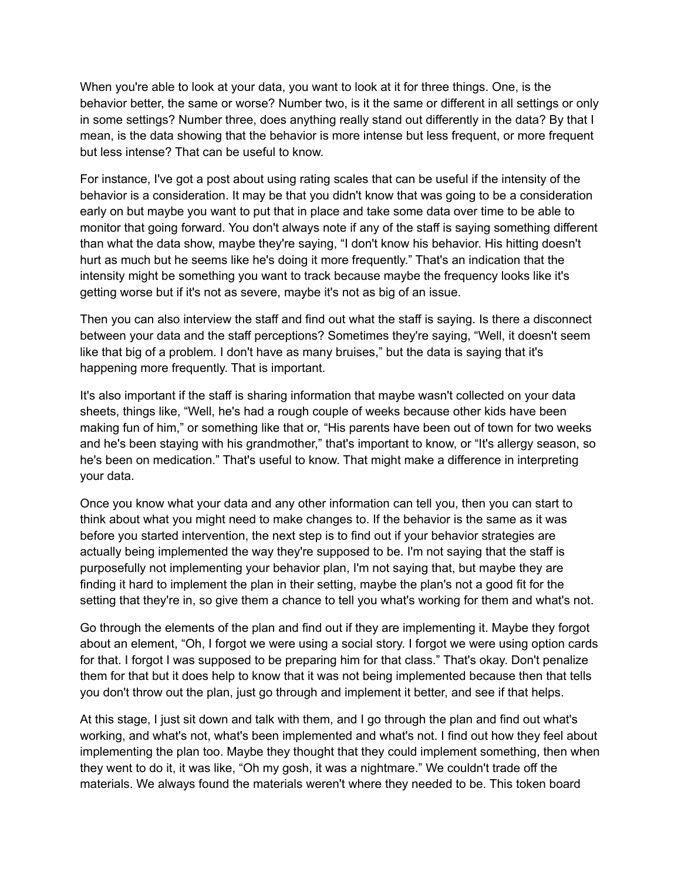When you're able to look at your data, you want to look at it for three things. One, is the behavior better, the same or worse? Number two, is it the same or different in all settings or only in some settings? Number three, does anything really stand out differently in the data? By that I mean, is the data showing that the behavior is more intense but less frequent, or more frequent but less intense? That can be useful to know.

For instance, I've got a post about using rating scales that can be useful if the intensity of the behavior is a consideration. It may be that you didn't know that was going to be a consideration early on but maybe you want to put that in place and take some data over time to be able to monitor that going forward. You don't always note if any of the staff is saying something different than what the data show, maybe they're saying, "I don't know his behavior. His hitting doesn't hurt as much but he seems like he's doing it more frequently." That's an indication that the intensity might be something you want to track because maybe the frequency looks like it's getting worse but if it's not as severe, maybe it's not as big of an issue.

Then you can also interview the staff and find out what the staff is saying. Is there a disconnect between your data and the staff perceptions? Sometimes they're saying, "Well, it doesn't seem like that big of a problem. I don't have as many bruises," but the data is saying that it's happening more frequently. That is important.

It's also important if the staff is sharing information that maybe wasn't collected on your data sheets, things like, "Well, he's had a rough couple of weeks because other kids have been making fun of him," or something like that or, "His parents have been out of town for two weeks and he's been staying with his grandmother," that's important to know, or "It's allergy season, so he's been on medication." That's useful to know. That might make a difference in interpreting your data.

Once you know what your data and any other information can tell you, then you can start to think about what you might need to make changes to. If the behavior is the same as it was before you started intervention, the next step is to find out if your behavior strategies are actually being implemented the way they're supposed to be. I'm not saying that the staff is purposefully not implementing your behavior plan, I'm not saying that, but maybe they are finding it hard to implement the plan in their setting, maybe the plan's not a good fit for the setting that they're in, so give them a chance to tell you what's working for them and what's not.

Go through the elements of the plan and find out if they are implementing it. Maybe they forgot about an element, "Oh, I forgot we were using a social story. I forgot we were using option cards for that. I forgot I was supposed to be preparing him for that class." That's okay. Don't penalize them for that but it does help to know that it was not being implemented because then that tells you don't throw out the plan, just go through and implement it better, and see if that helps.

At this stage, I just sit down and talk with them, and I go through the plan and find out what's working, and what's not, what's been implemented and what's not. I find out how they feel about implementing the plan too. Maybe they thought that they could implement something, then when they went to do it, it was like, "Oh my gosh, it was a nightmare." We couldn't trade off the materials. We always found the materials weren't where they needed to be. This token board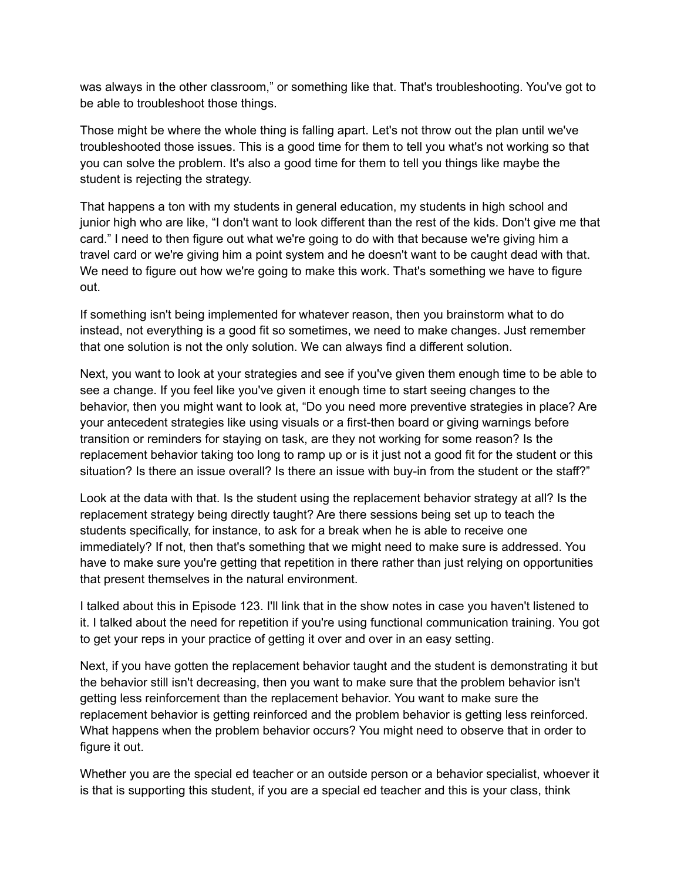was always in the other classroom," or something like that. That's troubleshooting. You've got to be able to troubleshoot those things.

Those might be where the whole thing is falling apart. Let's not throw out the plan until we've troubleshooted those issues. This is a good time for them to tell you what's not working so that you can solve the problem. It's also a good time for them to tell you things like maybe the student is rejecting the strategy.

That happens a ton with my students in general education, my students in high school and junior high who are like, "I don't want to look different than the rest of the kids. Don't give me that card." I need to then figure out what we're going to do with that because we're giving him a travel card or we're giving him a point system and he doesn't want to be caught dead with that. We need to figure out how we're going to make this work. That's something we have to figure out.

If something isn't being implemented for whatever reason, then you brainstorm what to do instead, not everything is a good fit so sometimes, we need to make changes. Just remember that one solution is not the only solution. We can always find a different solution.

Next, you want to look at your strategies and see if you've given them enough time to be able to see a change. If you feel like you've given it enough time to start seeing changes to the behavior, then you might want to look at, "Do you need more preventive strategies in place? Are your antecedent strategies like using visuals or a first-then board or giving warnings before transition or reminders for staying on task, are they not working for some reason? Is the replacement behavior taking too long to ramp up or is it just not a good fit for the student or this situation? Is there an issue overall? Is there an issue with buy-in from the student or the staff?"

Look at the data with that. Is the student using the replacement behavior strategy at all? Is the replacement strategy being directly taught? Are there sessions being set up to teach the students specifically, for instance, to ask for a break when he is able to receive one immediately? If not, then that's something that we might need to make sure is addressed. You have to make sure you're getting that repetition in there rather than just relying on opportunities that present themselves in the natural environment.

I talked about this in Episode 123. I'll link that in the show notes in case you haven't listened to it. I talked about the need for repetition if you're using functional communication training. You got to get your reps in your practice of getting it over and over in an easy setting.

Next, if you have gotten the replacement behavior taught and the student is demonstrating it but the behavior still isn't decreasing, then you want to make sure that the problem behavior isn't getting less reinforcement than the replacement behavior. You want to make sure the replacement behavior is getting reinforced and the problem behavior is getting less reinforced. What happens when the problem behavior occurs? You might need to observe that in order to figure it out.

Whether you are the special ed teacher or an outside person or a behavior specialist, whoever it is that is supporting this student, if you are a special ed teacher and this is your class, think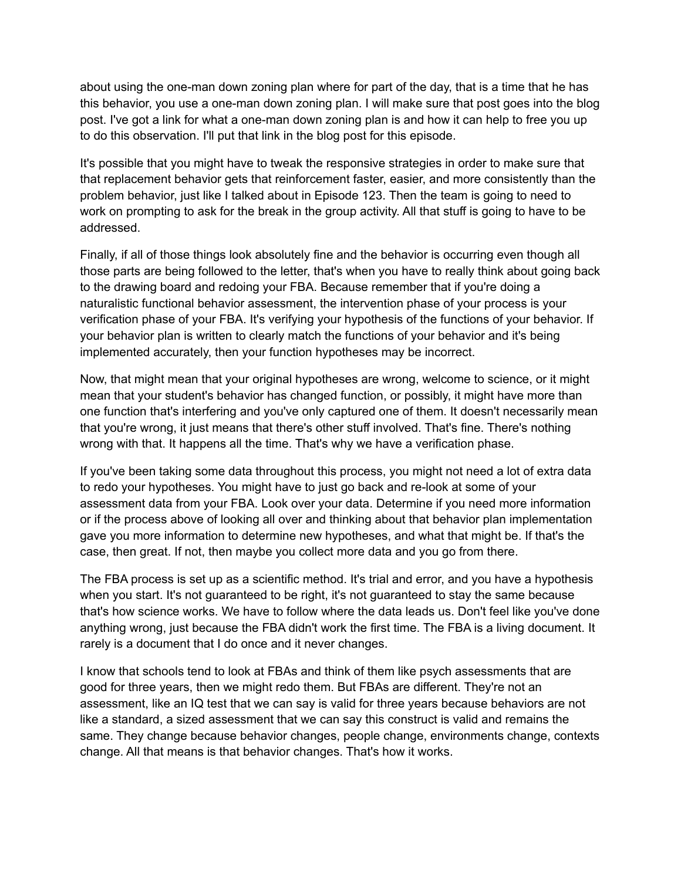about using the one-man down zoning plan where for part of the day, that is a time that he has this behavior, you use a one-man down zoning plan. I will make sure that post goes into the blog post. I've got a link for what a one-man down zoning plan is and how it can help to free you up to do this observation. I'll put that link in the blog post for this episode.

It's possible that you might have to tweak the responsive strategies in order to make sure that that replacement behavior gets that reinforcement faster, easier, and more consistently than the problem behavior, just like I talked about in Episode 123. Then the team is going to need to work on prompting to ask for the break in the group activity. All that stuff is going to have to be addressed.

Finally, if all of those things look absolutely fine and the behavior is occurring even though all those parts are being followed to the letter, that's when you have to really think about going back to the drawing board and redoing your FBA. Because remember that if you're doing a naturalistic functional behavior assessment, the intervention phase of your process is your verification phase of your FBA. It's verifying your hypothesis of the functions of your behavior. If your behavior plan is written to clearly match the functions of your behavior and it's being implemented accurately, then your function hypotheses may be incorrect.

Now, that might mean that your original hypotheses are wrong, welcome to science, or it might mean that your student's behavior has changed function, or possibly, it might have more than one function that's interfering and you've only captured one of them. It doesn't necessarily mean that you're wrong, it just means that there's other stuff involved. That's fine. There's nothing wrong with that. It happens all the time. That's why we have a verification phase.

If you've been taking some data throughout this process, you might not need a lot of extra data to redo your hypotheses. You might have to just go back and re-look at some of your assessment data from your FBA. Look over your data. Determine if you need more information or if the process above of looking all over and thinking about that behavior plan implementation gave you more information to determine new hypotheses, and what that might be. If that's the case, then great. If not, then maybe you collect more data and you go from there.

The FBA process is set up as a scientific method. It's trial and error, and you have a hypothesis when you start. It's not guaranteed to be right, it's not guaranteed to stay the same because that's how science works. We have to follow where the data leads us. Don't feel like you've done anything wrong, just because the FBA didn't work the first time. The FBA is a living document. It rarely is a document that I do once and it never changes.

I know that schools tend to look at FBAs and think of them like psych assessments that are good for three years, then we might redo them. But FBAs are different. They're not an assessment, like an IQ test that we can say is valid for three years because behaviors are not like a standard, a sized assessment that we can say this construct is valid and remains the same. They change because behavior changes, people change, environments change, contexts change. All that means is that behavior changes. That's how it works.